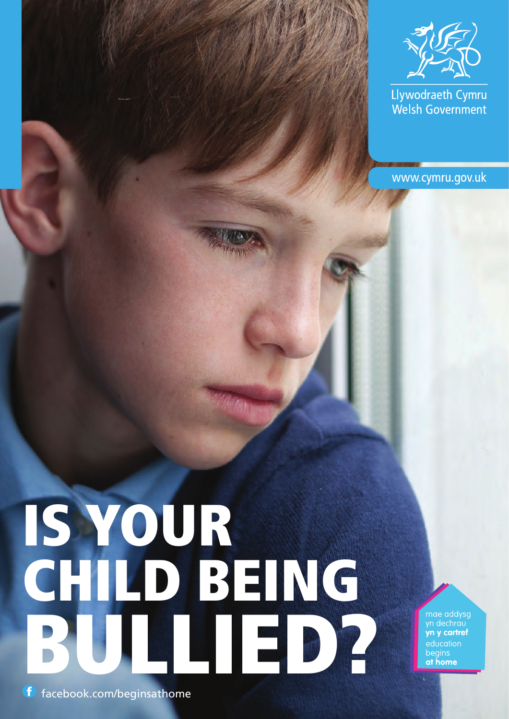

Llywodraeth Cymru Welsh Government

www.cymru.gov.uk

# IS YOUR CHILD BEING BULLIED?

mae addysg<br>yn dechrau<br>**yn y cartref** education begins at home